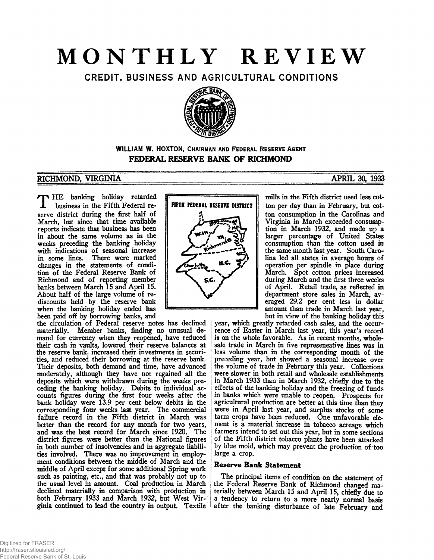# **MONTHLY REVIEW**

CREDIT, BUSINESS AND AGRICULTURAL CONDITIONS



WILLIAM W. HOXTON, CHAIRMAN AND FEDERAL RESERVE AGENT **FEDERAL RESERVE BANK OF RICHMOND**

# **RICHMOND, VIRGINIA APRIL 30, 1933**

THE banking holiday retarded<br>
U business in the Fifth Federal rebusiness in the Fifth Federal reserve district during the first half of March, but since that time available reports indicate that business has been in about the same volume as in the weeks preceding the banking holiday with indications of seasonal increase in some lines. There were marked changes in the statements of condition of the Federal Reserve Bank of Richmond and of reporting member banks between March 15 and April 15. About half of the large volume of rediscounts held by the reserve bank when the banking holiday ended has been paid off by borrowing banks, and

the circulation of Federal reserve notes has declined materially. Member banks, finding no unusual de-Member banks, finding no unusual demand for currency when they reopened, have reduced their cash in vaults, lowered their reserve balances at the reserve bank, increased their investments in securities, and reduced their borrowing at the reserve bank. Their deposits, both demand and time, have advanced moderately, although they have not regained all the deposits which were withdrawn during the weeks preceding the banking holiday. Debits to individual accounts figures during the first four weeks after the bank holiday were 13.9 per cent below debits in the corresponding four weeks last year. The commercial failure record in the Fifth district in March was better than the record for any month for two years, and was the best record for March since 1920. The district figures were better than the National figures in both number of insolvencies and in aggregate liabilities involved. There was no improvement in employment conditions between the middle of March and the middle of April except for some additional Spring work such as painting, etc., and that was probably not up to the usual level in amount. Coal production in March declined materially in comparison with production in both February 1933 and March 1932, but West Virginia continued to lead the country in output. Textile



mills in the Fifth district used less cotton per day than in February, but cotton consumption in the Carolinas and Virginia in March exceeded consumption in March 1932, and made up a larger percentage of United States consumption than the cotton used in the same month last year. South Carolina led all states in average hours of operation per spindle in place during March. Spot cotton prices increased during March and the first three weeks of April. Retail trade, as reflected in department store sales in March, averaged 29.2 per cent less in dollar amount than trade in March last year, but in view of the banking holiday this

year, which greatly retarded cash sales, and the occurrence of Easter in March last year, this year's record is on the whole favorable. As in recent months, wholesale trade in March in five represeneative lines was in **<sup>j</sup>**less volume than in the corresponding month of the preceding year, but showed a seasonal increase over the volume of trade in February this year. Collections were slower in both retail and wholesale establishments in March 1933 than in March 1932, chiefly due to the effects of the banking holiday and the freezing of funds in banks which were unable to reopen. Prospects for agricultural production are better at this time than they were in April last year, and surplus stocks of some farm crops have been reduced. One unfavorable element is a material increase in tobacco acreage which farmers intend to set out this year, but in some sections of the Fifth district tobacco plants have been attacked by blue mold, which may prevent the production of too large a crop.

# **Reserve Bank Statement**

The principal items of condition on the statement of the Federal Reserve Bank of Richmond changed materially between March 15 and April 15, chiefly due to a tendency to return to a more nearly normal basis after the banking disturbance of late February and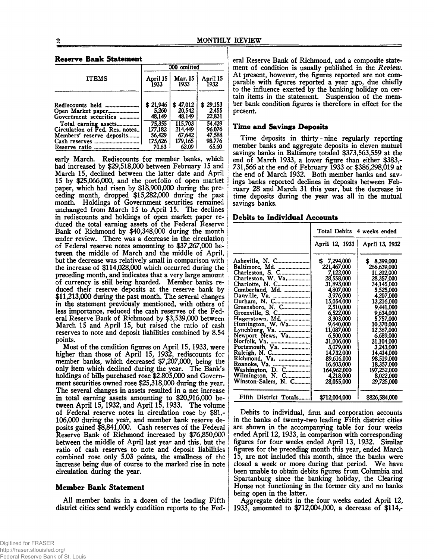#### **Reserve Bank Statement**

|                                                                   | 000 omitted                    |                                  |                             |  |
|-------------------------------------------------------------------|--------------------------------|----------------------------------|-----------------------------|--|
| <b>ITEMS</b>                                                      | April 15                       | Mar. 15                          | April 15                    |  |
|                                                                   | 1933                           | 1933                             | 1932                        |  |
| Rediscounts held<br>********************<br>Government securities | 21,946<br>s<br>5.260<br>48.149 | 47,012<br>S.<br>20,542<br>48.149 | \$29,153<br>2.455<br>22,831 |  |
| Total earning assets                                              | 75.355                         | 115,703                          | 54.439                      |  |
| Circulation of Fed. Res. notes                                    | 177.182                        | 214.449                          | 96.076                      |  |
| Members' reserve deposits                                         | 56.429                         | 67,642                           | 47,588                      |  |
|                                                                   | 175.626                        | 179,165                          | 98,776                      |  |
| Reserve ratio<br>------------------------                         | 70.63                          | 62.09                            | 65.60                       |  |

early March. Rediscounts for member banks, which had increased by \$29,518,000 between February 15 and March 15, declined between the latter date and April 15 by \$25,066,000, and the portfolio of open market paper, which had risen by \$18,900,000 during the preceding month, dropped \$15,282,000 during the past month. Holdings of Government securities remained unchanged from March 15 to April 15. The declines in rediscounts and holdings of open market paper reduced the total earning assets of the Federal Reserve Bank of Richmond by \$40,348,000 during the month under review. There was a decrease in the circulation of Federal reserve notes amounting to \$37,267,000 between the middle of March and the middle of April, but the decrease was relatively small in comparison with the increase of \$114,028,000 which occurred during the preceding month, and indicates that a very large amount of currency is still being hoarded. Member banks reduced their reserve deposits at the reserve bank by \$11,213,000 during the past month. The several changes in the statement previously mentioned, with others of less importance, reduced the cash reserves of the Federal Reserve Bank of Richmond by \$3,539,000 between March 15 and April 15, but raised the ratio of cash reserves to note and deposit liabilities combined by 8.54 points.

Most of the condition figures on April 15,1933, were higher than those of April 15, 1932, rediscounts for member banks, which decreased \$7,207,000, being the only item which declined during the year. The Bank's holdings of bills purchased rose \$2,805,000 and Government securities owned rose \$25,318,000 during the year. The several changes in assets resulted in a net increase in total earning assets amounting to \$20,916,000 between April 15,1932, and April 15,1933. The volume of Federal reserve notes in circulation rose by \$81,- 106,000 during the year, and member bank reserve deposits gained \$8,841,000. Cash reserves of the Federal Reserve Bank of Richmond increased by \$76,850,000 between the middle of April last year and this, but the ratio of cash reserves to note and deposit liabilities combined rose only 5.03 points, the smallness of the increase being due of course to the marked rise in note circulation during the year.

#### **Member Bank Statement**

All member banks in a dozen of the leading Fifth district cities send weekly condition reports to the Federal Reserve Bank of Richmond, and a composite statement of condition is usually published in the *Review*. At present, however, the figures reported are not comparable with figures reported a year ago, due chiefly to the influence exerted by the banking holiday on certain items in the statement. Suspension of the member bank condition figures is therefore in effect for the present.

#### **Time and Savings Deposits**

Time deposits in thirty-nine regularly reporting member banks and aggregate deposits in eleven mutual savings banks in Baltimore totaled \$373,563,559 at the end of March 1933, a lower figure than either \$383,- 731,566 at the end of February 1933 or \$386,298,019 at the end of March 1932. Both member banks and savings banks reported declines in deposits between February 28 and March 31 this year, but the decrease in time deposits during the year was all in the mutual savings banks.

**Debits to Individual Accounts**

|                                                                                                                                                                                                                                                           | Total Debits 4 weeks ended                                                                                                                                                                                                          |                                                                                                                                                                                                                                                         |  |
|-----------------------------------------------------------------------------------------------------------------------------------------------------------------------------------------------------------------------------------------------------------|-------------------------------------------------------------------------------------------------------------------------------------------------------------------------------------------------------------------------------------|---------------------------------------------------------------------------------------------------------------------------------------------------------------------------------------------------------------------------------------------------------|--|
|                                                                                                                                                                                                                                                           | April 12, 1933   April 13, 1932                                                                                                                                                                                                     |                                                                                                                                                                                                                                                         |  |
| Asheville, N. C<br>Baltimore, Md.<br>Charleston, S. C<br>Charleston, W. Va<br>Charlotte, N. C<br>Cumberland, Md.<br>Greensboro, N. C<br>Greenville, S. C<br>Hagerstown, Md.<br>Huntington, W. Va<br>Lynchburg, Va.<br>Newport News, Va<br>Portsmouth, Va. | \$7,294,000<br>221,467,000<br>7,122,000<br>28,558,000<br>31,893,000<br>4,807,000<br>3,976,000<br>15,054,000<br>2,510,000<br>6,522,000<br>3,303,000<br>9,640,000<br>11,087,000<br>6,500,000<br>31,006,000<br>3,079,000<br>14.732.000 | \$<br>8,399,000<br>266,639,000<br><b>11.202.000</b><br>28,357,000<br>34,145,000<br>5,525,000<br>4,207,000<br><b>13,216,000</b><br>9,441,000<br>9,634,000<br>5.757.000<br>10.370.000<br>12,367,000<br>6.689.000<br>31,104,000<br>3,243,000<br>14.414.000 |  |
| Washington, D. C<br>Wilmington, N. C<br>Winston-Salem, N. C                                                                                                                                                                                               | 89,616,000<br>16.603.000<br>164,962,000<br>4.218.000<br>28,055,000                                                                                                                                                                  | 98.519.000<br>18.357.000<br>197,252,000<br>8,022,000<br>29,725,000                                                                                                                                                                                      |  |
| Fifth District Totals                                                                                                                                                                                                                                     | \$712,004,000                                                                                                                                                                                                                       | \$826,584,000                                                                                                                                                                                                                                           |  |

Debits to individual, firm and corporation accounts in the banks of twenty-two leading Fifth district cities are shown in the accompanying table for four weeks ended April 12,1933, in comparison with corresponding figures for four weeks ended April 13, 1932. Similar figures for the preceding month this year, ended March 15, are not included this month, since the banks were closed a week or more during that period. We have been unable to obtain debits figures from Columbia and Spartanburg since the banking holiday, the Clearing House not functioning in the former city and no banks being open in the latter.

Aggregate debits in the four weeks ended April 12, 1933, amounted to \$712,004,000, a decrease of \$114,-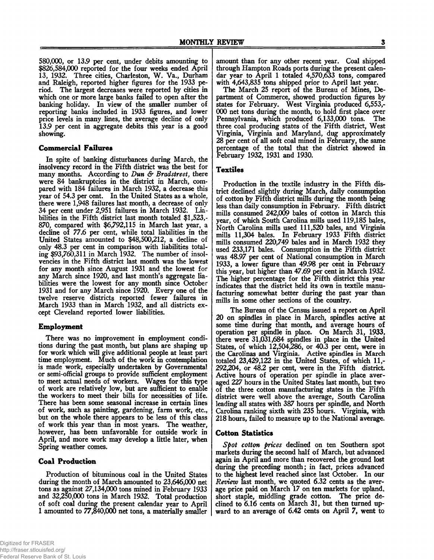580,000, or 13.9 per cent, under debits amounting to \$826,584,000 reported for the four weeks ended April 13, 1932. Three cities, Charleston, W. Va., Durham and Raleigh, reported higher figures for the 1933 period. The largest decreases were reported by cities in which one or more large banks failed to open after the banking holiday. In view of the smaller number of reporting banks included in 1933 figures, and lower price levels in many lines, the average decline of only 13.9 per cent in aggregate debits this year is a good showing.

# **Commercial Failures**

In spite of banking disturbances during March, the insolvency record in the Fifth district was the best for many months. According to *Dun & Bradstreet,* there were 84 bankruptcies in the district in March, compared with 184 failures in March 1932, a decrease this year of 54.3 per cent. In the United States as a whole, there were 1,948 failures last month, a decrease of only 34 per cent under 2,951 failures in March 1932. Liabilities in the Fifth district last month totaled \$1,523,- 870, compared with \$6,792,115 in March last year, a decline of 77.6 per cent, while total liabilities in the United States amounted to \$48,500,212, a decline of only 48,3 per cent in comparison with liabilities totaling \$93,760,311 in March 1932. The number of insolvencies in the Fifth district last month was the lowest for any month since August 1931 and the lowest for any March since 1920, and last month's aggregate liabilities were the lowest for any month since October 1931 and for any March since 1920. Every one of the twelve reserve districts reported fewer failures in March 1933 than in March 1932, and all districts except Cleveland reported lower liabilities.

# **Employment**

There was no improvement in employment conditions during the past month, but plans are shaping up for work which will give additional people at least part time employment. Much of the work in contemplation is made work, especially undertaken by Governmental or semi-official groups to provide sufficient employment to meet actual needs of workers. Wages for this type of work are relatively low, but are sufficient to enable the workers to meet their bills for necessities of life. There has been some seasonal increase in certain lines of work, such as painting, gardening, farm work, etc., but on the whole there appears to be less of this class of work this year than in most years. The weather, however, has been unfavorable for outside work in April, and more work may develop a little later, when Spring weather comes.

# **Coal Production**

Production of bituminous coal in the United States during the month of March amounted to 23,646,000 net tons as against 27,134,000 tons mined in February 1933 and 32,250,000 tons in March 1932. Total production of soft coal during the present calendar year to April 1 amounted to 77,840,000 net tons, a materially smaller

The March 25 report of the Bureau of Mines, Department of Commerce, showed production figures by states for February. West Virginia produced 6,553,- 000 net tons during the month, to hold first place over Pennsylvania, which produced 6,133,000 tons. The three coal producing states of the Fifth district, West Virginia, Virginia and Maryland, dug approximately 28 per cent of all soft coal mined in February, the same percentage of the total that the district showed in February 1932, 1931 and 1930.

# **Textiles**

Production in the textile industry in the Fifth district declined slightly during March, daily consumption of cotton by Fifth district mills during the month being less than daily consumption in February. Fifth district mills consumed 242,009 bales of cotton in March this year, of which South Carolina mills used 119,185 bales, North Carolina mills used 111,520 bales, and Virginia mills 11,304 bales. In February 1933 Fifth district mills consumed 220,749 bales and in March 1932 they used 233,171 bales. Consumption in the Fifth district was 48.97 per cent of National consumption in March 1933, a lower figure than 49.98 per cent in February this year, but higher than 47.69 per cent in March 1932. The higher percentage for the Fifth district this year indicates that the district held its own in textile manufacturing somewhat better during the past year than mills in some other sections of the country.

The Bureau of the Census issued a report on April 20 on spindles in place in March, spindles active at some time during that month, and average hours of operation per spindle in place. On March 31, 1933, there were 31,031,684 spindles in place in the United States, of which 12,504,286, or 40.3 per cent, were in the Carolinas and Virginia. Active spindles in March totaled 23,429,122 in the United States, of which 11,- 292,204, or 48.2 per cent, were in the Fifth district Active hours of operation per spindle in place averaged 227 hours in the United States last month, but two of the three cotton manufacturing states in the Fifth district were well above the average, South Carolina leading all states with 387 hours per spindle, and North Carolina ranking sixth with 235 hours. Virginia, with 218 hours, failed to measure up to the National average.

# **Cotton Statistics**

*Spot cotton prices* declined on ten Southern spot markets during the second half of March, but advanced again in April and more than recovered the ground lost during the preceding month; in fact, prices advanced to the highest level reached since last October. In our *Review* last month, we quoted 6.32 cents as the average price paid on March 17 on ten markets for upland, short staple, middling grade cotton. The price declined to 6.16 cents on March 31, but then turned upward to an average of 6.42 cents on April 7, went to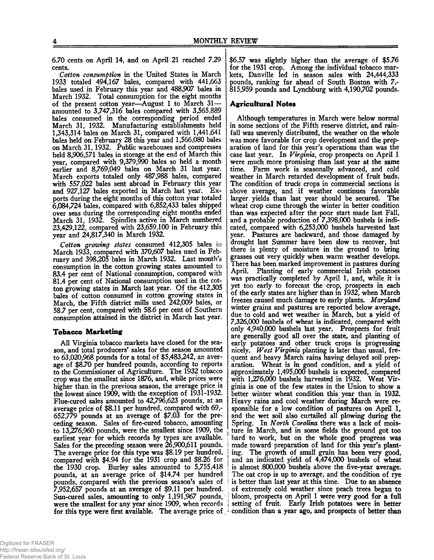6.70 cents on April 14, and on April 21 reached 7.29 cents.

*Cotton consumption* in the United States in March 1933 totaled 494,167 bales, compared with 441,663 bales used in February this year and 488,907 bales in March 1932. Total consumption for the eight months of the present cotton year—August 1 to March 31 amounted to 3,747,316 bales compared with 3,56S;889 bales consumed in the corresponding period ended March 31, 1932. Manufacturing establishments held 1,343,314 bales on March 31, compared with 1,441,641 bales held on February 28 this year and 1,566,080 bales on March 31,1932. Public warehouses and compresses held 8,906,571 bales in storage at the end of March this year, compared with 9,379,990 bales so held a month earlier and 8,769,049 bales on March 31 last year. March exports totaled only 487,988 bales, compared with 557,022 bales sent abroad in February this year and 927,127 bales exported in March last year. Exports during the eight months of this cotton year totaled 6,084,724 bales, compared with 6,852,433 bales shipped over seas during the corresponding eight months ended March 31, 1932. Spindles active in March numbered 23,429,122, compared with 23,659,100 in February this year and 24,817,340 in March 1932.

*Cotton growing states* consumed 412,305 bales in March 1933, compared with 370,607 bales used in February and 398,205 bales in March 1932. Last month's consumption in the cotton growing states amounted to 83.4 per cent of National consumption, compared with 81.4 per cent of National consumption used in the cotton growing states in March last year. Of the 412,305 bales of cotton consumed in cotton growing states in March, the Fifth district mills used 242,009 bales, or 58.7 per cent, compared with 58.6 per cent of Southern consumption attained in the district in March last year.

# **Tobacco Marketing**

All Virginia tobacco markets have closed for the season, and total producers' sales for the season amounted to 63,020,968 pounds for a total of \$5,483,242, an average of \$8.70 per hundred pounds, according to reports to the Commissioner of Agriculture. The 1932 tobacco crop was the smallest since 1876, and, while prices were higher than in the previous season, the average price is the lowest since 1909, with the exception of 1931-1932. Flue-cured sales amounted to 42,796,623 pounds, at an average price of \$8.11 per hundred, compared with 69,- 652,779 pounds at an average of \$7.03 for the preceding season. Sales of fire-cured tobacco, amounting to 13,276,960 pounds, were the smallest since 1909, the earliest year for which records by types are available. Sales for the preceding season were 26,900,611 pounds. The average price for this type was \$8.19 per hundred, compared with \$4.94 for the 1931 crop and \$8.26 for the 1930 crop. Burley sales amounted to 5,755,418 pounds, at an average price of \$14.74 per hundred pounds, compared with the previous season's sales of 7,952,657 pounds at an average of \$9.11 per hundred. Sun-cured sales, amounting to only 1,191,967 pounds, were the smallest for any year since 1909, when records for this type were first available. The average price of

\$6.57 was slightly higher than the average of \$5.76 for the 1931 crop. Among the individual tobacco markets, Danville led in season sales with 24,444,333 pounds, ranking far ahead of South Boston with 7,- 815,959 pounds and Lynchburg with 4,190,702 pounds.

# **Agricultural Notes**

Although temperatures in March were below normal in some sections of the Fifth reserve district, and rainfall was unevenly distributed, the weather on the whole was more favorable for crop development and the preparation of land for this year's operations than was the case last year. In *Virginia,* crop prospects on April 1 were much more promising than last year at the same time. Farm work is seasonally advanced, and cold weather in March retarded development of fruit buds. The condition of truck crops in commercial sections is above average, and if weather continues favorable larger yields than last year should be secured. The wheat crop came through the winter in better condition than was expected after the poor start made last Fall, and a probable production of 7,398,000 bushels is indicated, compared with 6,253,000 bushels harvested last year. Pastures are backward, and those damaged by drought last Summer have been slow to recover, but there is plenty of moisture in the ground to bring grasses out very quickly when warm weather develops. There has been marked improvement in pastures during April. Planting of early commercial Irish potatoes was practically completed by April 1, and, while it is yet too early to forecast the crop, prospects in each of the early states are higher than in 1932, when March freezes caused much damage to early plants. *Maryland* winter grains and pastures are reported below average, due to cold and wet weather in March, but a yield of 7,326,000 bushels of wheat is indicated, compared with only 4,940,000 bushels last year. Prospects for fruit are generally good all over the state, and planting of early potatoes and other truck crops is progressing nicely. *West Virginia* planting is later than usual, frequent and heavy March rains having delayed soil preparation. Wheat is in good condition, and a yield of approximately 1,495,000 bushels is expected, compared with 1,276,000 bushels harvested in 1932. West Virginia is one of the few states in the Union to show a better winter wheat condition this year than in 1932. Heavy rains and cool weather during March were responsible for a low condition of pastures on April 1, and the wet soil also curtailed all plowing during the Spring. In *North Carolina* there was a lack of moisture in March, and in some fields the ground got too hard to work, but on the whole good progress was made toward preparation of land for this year's planting. The growth of small grain has been very good, and an indicated yield of 4,474,000 bushels of wheat is almost 800,000 bushels above the five-year average. The oat crop is up to average, and the condition of rye is better than last year at this time. Due to an absence of extremely cold weather since peach trees began to bloom, prospects on April 1 were very good for a full setting of fruit. Early Irish potatoes were in better condition than a year ago, and prospects of better then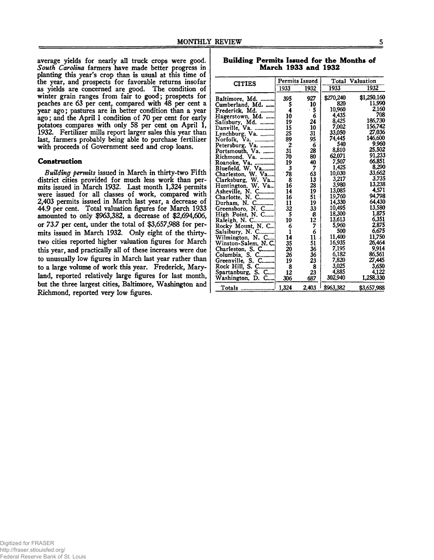average yields for nearly all truck crops were good. *South Carolina* farmers have made better progress in planting this year's crop than is usual at this time of the year, and prospects for favorable returns insofar as yields are concerned are good. The condition of winter grain ranges from fair to good; prospects for peaches are 63 per cent, compared with 48 per cent a year ago; pastures are in better condition than a year ago; and the April 1 condition of 70 per cent for early potatoes compares with only 58 per cent on April 1, 1932. Fertilizer mills report larger sales this year than last, farmers probably being able to purchase fertilizer with proceeds of Government seed and crop loans.

#### **Construction**

*Building permits* issued in March in thirty-two Fifth district cities provided for much less work than permits issued in March 1932. Last month 1,324 permits were issued for all classes of work, compared with 2,403 permits issued in March last year, a decrease of 44.9 per cent. Total valuation figures for March 1933 amounted to only \$963,382, a decrease of \$2,694,606, or 73.7 per cent, under the total of \$3,657,988 for permits issued in March 1932. Only eight of the thirtytwo cities reported higher valuation figures for March this year, and practically all of these increases were due to unusually low figures in March last year rather than to a large volume of work this year. Frederick, Maryland, reported relatively large figures for last month, but the three largest cities, Baltimore, Washington and Richmond, reported very low figures.

**Building Permits Issued for the Months of March 1933 and 1932**

| <b>CITIES</b>        |       | <b>Permits Issued</b> |                 | <b>Total Valuation</b> |
|----------------------|-------|-----------------------|-----------------|------------------------|
|                      | 1933  | 1932                  | 1933            | 1932                   |
|                      | 395   | 927                   | \$270,240       | \$1,250,160            |
| Baltimore, Md.       | 5     | 10                    | 820             | 11,990                 |
| Cumberland, Md.      | 4     | - 5                   | 10,960          | 2,160                  |
| Frederick, Md.       | 10    | 6                     | 4,435           | 708                    |
| Hagerstown, Md.      |       | 24                    | 8,425           | 186,730                |
| Salisbury, Md.       | 19    | 10                    | 7,002           | 156,742                |
| Danville, Va.        | 15    |                       | 33,050          | 27,036                 |
| Lynchburg, Va.       | 25    | 31                    | 74,445          | 146.600                |
| Norfolk,<br>Va.      | 89    | 95                    | 540             | 9,960                  |
| Petersburg, Va.      | 2     | 6                     | 8,810           | 25,502                 |
| Portsmouth, Va.      | 31    | 28                    | 62,071          | 91,233                 |
| Richmond. Va.        | 70    | 80                    | 7,507           | 66,851                 |
| Roanoke, Va.         | 19    | 40                    |                 | 8,290                  |
| Bluefield, W. Va     | 3     | 7                     | 1,425<br>10,030 | 33,662                 |
| Charleston, W. Va    | 78    | 63                    | 3,217           | 3,735                  |
| Clarksburg, W.<br>Va | 8     | 13                    |                 | 13.238                 |
| Huntington, W. Va    | 16    | 28                    | 3,980           | 4,571                  |
| Asheville, N. C.     | 14    | 19                    | 13,085          | 94,798                 |
| Charlotte, N. C      | 16    | 51                    | 19,760          | 64,430                 |
| Durham, N.<br>C.,    | 11    | 19                    | 14,330          |                        |
| Greensboro, N. C     | 32    | $33 -$                | 10,495          | 13,580                 |
| High Point, N. C     | 5     | $\frac{8}{12}$        | 18,300          | 1,875                  |
| Raleigh, N. C        | 10    |                       | 13,613          | 6,351                  |
| Rocky Mount, N. C    | 6     |                       | 5,960           | 2,875                  |
| Salsibury, N. C      | 1     | 6                     | 500             | 6,675                  |
| Wilmington, N. C     | 14    | 11                    | 11,400          | 11,750                 |
| Winston-Salem, N.C.  | 35    | 51                    | 16,935          | 26,464                 |
| Charleston, S. C     | 20    | 36                    | 7,195           | 9,914                  |
| Columbia, S. C       | 26    | 36                    | 6,182           | 86,561                 |
| Greenville, S. C     | 19    | 23                    | 7,820           | 27,445                 |
| Rock Hill, S. C.     | 8     | 8                     | 3,025           | 3,650                  |
| Spartanburg, S. C    | 12    | 23                    | 4,885           | 4,122                  |
| Washington, D. C     | 306   | 687                   | 302,940         | 1,258,330              |
| Totals               | 1,324 | 2,403                 | \$963,382       | \$3,657,988            |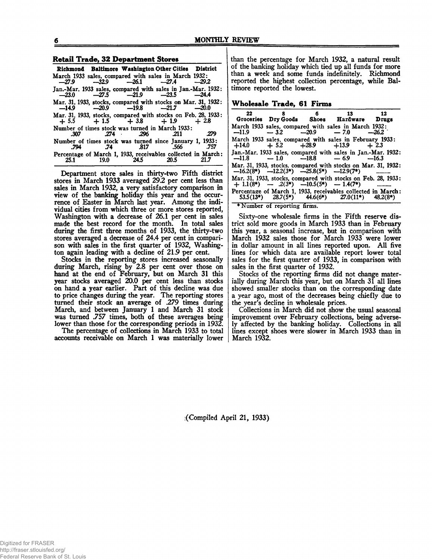#### Retail Trade, 32 Department Stores\_\_\_\_\_\_\_\_\_

|      |                             | Richmond Baltimore Washington Other Cities District                                                      |       |
|------|-----------------------------|----------------------------------------------------------------------------------------------------------|-------|
|      |                             | March 1933 sales, compared with sales in March 1932:<br>$-27.9$ $-32.9$ $-26.1$ $-27.4$ $-29.2$          |       |
|      |                             | Jan.-Mar. 1933 sales, compared with sales in Jan.-Mar. 1932:<br>$-23.0$ $-27.5$ $-21.9$ $-23.5$ $-24.4$  |       |
|      |                             | Mar. 31, 1933, stocks, compared with stocks on Mar. 31, 1932:<br>$-14.9$ $-20.9$ $-19.8$ $-21.7$ $-20.0$ |       |
|      |                             | Mar. 31, 1933, stocks, compared with stocks on Feb. 28, 1933:<br>$+5.5$ $+1.5$ $+3.8$ $+1.9$ $+2.8$      |       |
|      | $.307$ $.274$ $.296$ $.211$ | Number of times stock was turned in March 1933:                                                          | . 279 |
| .794 |                             | Number of times stock was turned since January 1, 1933:<br>.74 .817 .566 .757                            |       |
|      |                             | Percentage of March 1, 1933, receivables collected in March:<br>25.1 19.0 24.5 20.5 21.7                 |       |

Department store sales in thirty-two Fifth district stores in March 1933 averaged 29.2 per cent less than sales in March 1932, a very satisfactory comparison in view of the banking holiday this year and the occurrence of Easter in March last year. Among the individual cities from which three or more stores reported, Washington with a decrease of 26.1 per cent in sales made the best record for the month. In total sales during the first three months of 1933, the thirty-two stores averaged a decrease of 24.4 per cent in comparison with sales in the first quarter of 1932, Washington again leading with a decline of 21.9 per cent.

Stocks in the reporting stores increased seasonally during March, rising by 2.8 per cent over those on hand at the end of February, but on March 31 this year stocks averaged 20.0 per cent less than stocks on hand a year earlier. Part of this decline was due to price changes during the year. The reporting stores turned their stock an average of .279 times during March, and between January 1 and March 31 stock was turned .757 times, both of these averages being lower than those for the corresponding periods in 1932.

The percentage of collections in March 1933 to total accounts receivable on March 1 was materially lower

than the percentage for March 1932, a natural result of the banking holiday which tied up all funds for more than a week and some funds indefinitely. Richmond reported the highest collection percentage, while Baltimore reported the lowest.

#### Wholesale Trade, 61 Firms

| 22      | 8                                                   | 6 13 12<br>Groceries Dry Goods Shoes Hardware Drugs                                                                  |  |
|---------|-----------------------------------------------------|----------------------------------------------------------------------------------------------------------------------|--|
| $-11.9$ |                                                     | March 1933 sales, compared with sales in March 1932:<br>$-3.2$ $-20.9$ $-7.0$ $-26.2$                                |  |
| $+14.0$ |                                                     | March 1933 sales, compared with sales in February 1933:<br>$+5.2$ $+28.9$ $+13.9$ $+2.3$                             |  |
|         |                                                     | Jan.-Mar, 1933 sales, compared with sales in Jan.-Mar. 1932:<br>$-11.8 - 1.0 -18.8 -6.9 -16.3$                       |  |
|         | $-16.2(8^*)$ $-12.2(3^*)$ $-25.8(5^*)$ $-12.9(7^*)$ | Mar. 31, 1933, stocks, compared with stocks on Mar. 31, 1932:                                                        |  |
|         | $+ 1.1(8^*)$ $- 2(3^*)$ $- 10.5(5^*)$ $- 1.4(7^*)$  | Mar. 31, 1933, stocks, compared with stocks on Feb. 28, 1933:                                                        |  |
|         |                                                     | Percentage of March 1, 1933, receivables collected in March:<br>53.5(13*) $28.7(5^*)$ 44.6(6*) $27.0(11^*)$ 48.2(8*) |  |

♦Number of reporting firms.

Sixty-one wholesale firms in the Fifth reserve district sold more goods in March 1933 than in February this year, a seasonal increase, but in comparison with March 1932 sales those for March 1933 were lower in dollar amount in all lines reported upon. All five lines for which data are available report lower total sales for the first quarter of 1933, in comparison with sales in the first quarter of 1932.

Stocks of the reporting firms did not change materially during March this year, but on March 31 all lines showed smaller stocks than on the corresponding date a year ago, most of the decreases being chiefly due to the year's decline in wholesale prices.

Collections in March did not show the usual seasonal improvement over February collections, being adversely affected by the banking holiday. Collections in all lines except shoes were slower in March 1933 than in March 1932.

{•Compiled April 21, 1933)